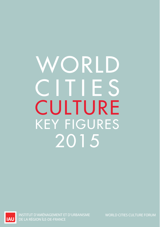# CULTURE WORLD CITIES KEY FIGURES 2015



INSTITUT D'AMÉNAGEMENT ET D'URBANISME DE LA RÉGION ÎLE-DE-FRANCE

WORLD CITIES CULTURE FORUM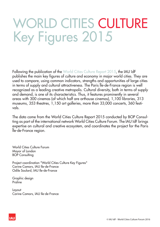## WORLD CITIES CULTURE Key Figures 2015

Following the publication of the World Cities Culture Report 2015, the IAU îdF publishes the main key figures of culture and economy in major world cities. They are used to compare, using common indicators, strengths and opportunities of large cities in terms of supply and cultural attractiveness. The Paris Île-de-France region is well recognized as a leading creative metropolis. Cultural diversity, both in terms of supply and demand, is one of its characteristics. Thus, it features prominently in several areas with 300 cinemas (of which half are arthouse cinemas), 1,100 libraries, 313 museums, 353 theatres, 1,150 art galleries, more than 33,000 concerts, 360 festivals.

The data come from the World Cities Culture Report 2015 conducted by BOP Consulting as part of the international network World Cities Culture Forum. The IAU îdF brings expertise on cultural and creative ecosystem, and coordinates the project for the Paris Île-de-France region.

World Cities Culture Forum Mayor of London BOP Consulting

Project coordination "World Cities Culture Key Figures" Carine Camors, IAU Ile-de-France Odile Soulard, IAU Ile-de-France

Graphic design Praline

Layout Carine Camors, IAU Ile-de-France

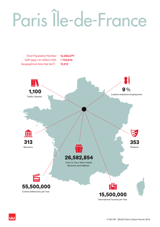# Paris Île-de-France



**IAU** 

International Tourists per Year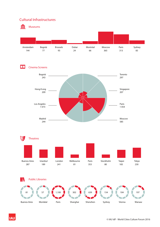#### Cultural Infrastructures



**IAU**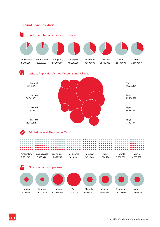

**IAU**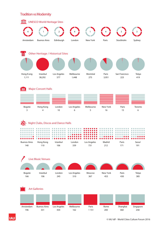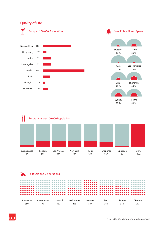### Quality of Life









| Amsterdam | <b>Buenos Aires</b> | Istanbul | Melbourne | Moscow | Paris | Sydney | Toronto |
|-----------|---------------------|----------|-----------|--------|-------|--------|---------|
| 350       | Q۵                  |          | 256       |        | 360   |        | 203     |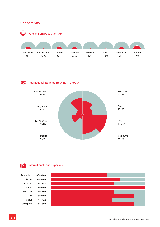### **Connectivity**



#### International Students Studying in the CitySî



#### lgl International Tourists per Year

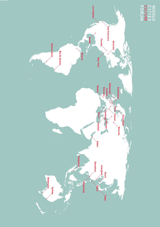

WORLD<br>CULTURE<br>CULTURE<br>FORUM